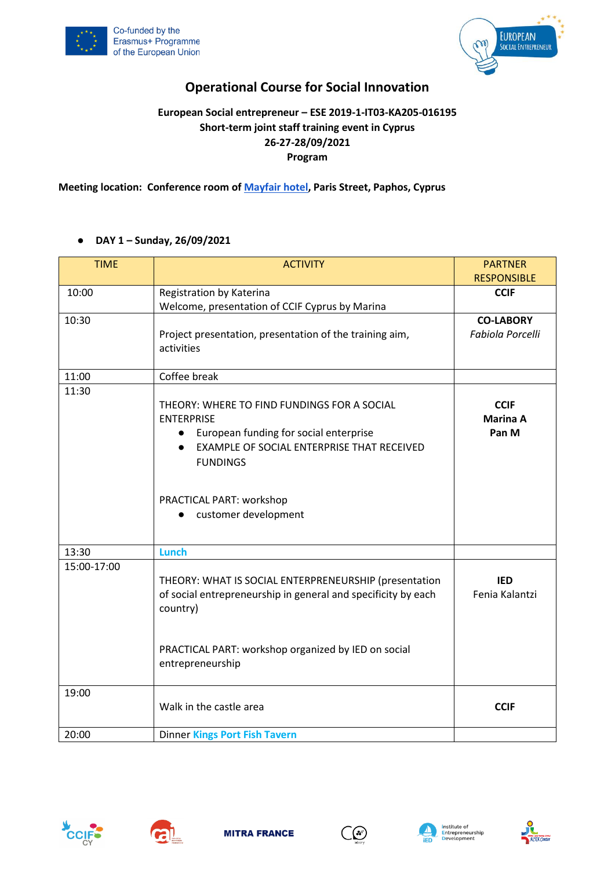



# **Operational Course for Social Innovation**

## **European Social entrepreneur – ESE 2019-1-IT03-KA205-016195 Short-term joint staff training event in Cyprus 26-27-28/09/2021 Program**

**Meeting location: Conference room of [Mayfair hotel,](https://www.google.it/maps/place/Mayfair+Hotel+(former+Smartline+Paphos)/@34.7655424,32.4154368,17z/data=!3m1!4b1!4m8!3m7!1s0x14e706e953ebf641:0xc9591bff36ca5b82!5m2!4m1!1i2!8m2!3d34.7655424!4d32.4176255?hl=en&authuser=0) Paris Street, Paphos, Cyprus**

### ● **DAY 1 – Sunday, 26/09/2021**

| <b>TIME</b> | <b>ACTIVITY</b>                                                       | <b>PARTNER</b>     |
|-------------|-----------------------------------------------------------------------|--------------------|
|             |                                                                       | <b>RESPONSIBLE</b> |
| 10:00       | Registration by Katerina                                              | <b>CCIF</b>        |
|             | Welcome, presentation of CCIF Cyprus by Marina                        |                    |
| 10:30       |                                                                       | <b>CO-LABORY</b>   |
|             | Project presentation, presentation of the training aim,<br>activities | Fabiola Porcelli   |
| 11:00       | Coffee break                                                          |                    |
| 11:30       |                                                                       |                    |
|             | THEORY: WHERE TO FIND FUNDINGS FOR A SOCIAL                           | <b>CCIF</b>        |
|             | <b>ENTERPRISE</b>                                                     | <b>Marina A</b>    |
|             | European funding for social enterprise<br>$\bullet$                   | Pan M              |
|             | EXAMPLE OF SOCIAL ENTERPRISE THAT RECEIVED<br>$\bullet$               |                    |
|             | <b>FUNDINGS</b>                                                       |                    |
|             |                                                                       |                    |
|             | PRACTICAL PART: workshop                                              |                    |
|             | customer development                                                  |                    |
|             |                                                                       |                    |
| 13:30       | <b>Lunch</b>                                                          |                    |
| 15:00-17:00 |                                                                       |                    |
|             | THEORY: WHAT IS SOCIAL ENTERPRENEURSHIP (presentation                 | <b>IED</b>         |
|             | of social entrepreneurship in general and specificity by each         | Fenia Kalantzi     |
|             | country)                                                              |                    |
|             |                                                                       |                    |
|             |                                                                       |                    |
|             | PRACTICAL PART: workshop organized by IED on social                   |                    |
|             | entrepreneurship                                                      |                    |
|             |                                                                       |                    |
| 19:00       |                                                                       |                    |
|             | Walk in the castle area                                               | <b>CCIF</b>        |
|             |                                                                       |                    |
| 20:00       | <b>Dinner Kings Port Fish Tavern</b>                                  |                    |









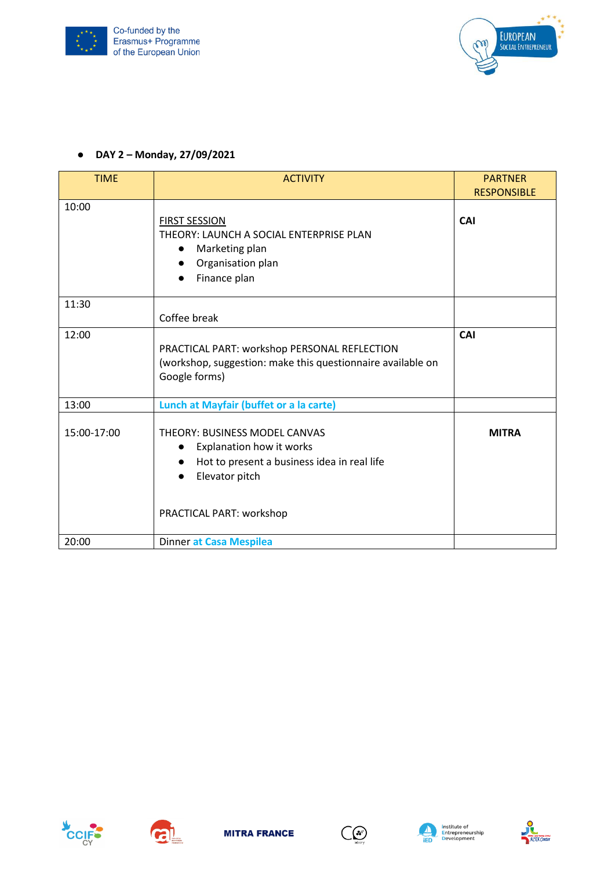



#### ● **DAY 2 – Monday, 27/09/2021**

| <b>TIME</b> | <b>ACTIVITY</b>                                                                                                                                                     | <b>PARTNER</b><br><b>RESPONSIBLE</b> |
|-------------|---------------------------------------------------------------------------------------------------------------------------------------------------------------------|--------------------------------------|
| 10:00       | <b>FIRST SESSION</b><br>THEORY: LAUNCH A SOCIAL ENTERPRISE PLAN<br>Marketing plan<br>$\bullet$<br>Organisation plan<br>$\bullet$<br>Finance plan                    | CAI                                  |
| 11:30       | Coffee break                                                                                                                                                        |                                      |
| 12:00       | PRACTICAL PART: workshop PERSONAL REFLECTION<br>(workshop, suggestion: make this questionnaire available on<br>Google forms)                                        | <b>CAI</b>                           |
| 13:00       | Lunch at Mayfair (buffet or a la carte)                                                                                                                             |                                      |
| 15:00-17:00 | THEORY: BUSINESS MODEL CANVAS<br>Explanation how it works<br>$\bullet$<br>Hot to present a business idea in real life<br>Elevator pitch<br>PRACTICAL PART: workshop | <b>MITRA</b>                         |
| 20:00       | Dinner at Casa Mespilea                                                                                                                                             |                                      |